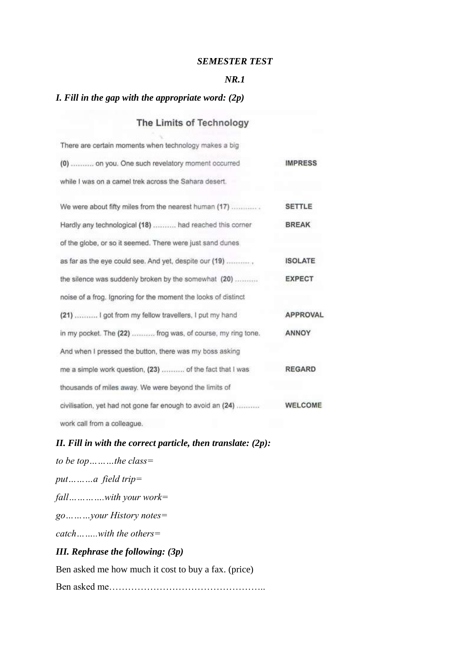### *SEMESTER TEST*

#### *NR.1*

# *I. Fill in the gap with the appropriate word: (2p)*

The County of the

# The Limits of Technology

| There are certain moments when technology makes a big          |                 |
|----------------------------------------------------------------|-----------------|
| (0)  on you. One such revelatory moment occurred               | <b>IMPRESS</b>  |
| while I was on a camel trek across the Sahara desert.          |                 |
| We were about fifty miles from the nearest human (17)          | <b>SETTLE</b>   |
| Hardly any technological (18)  had reached this corner         | <b>BREAK</b>    |
| of the globe, or so it seemed. There were just sand dunes      |                 |
| as far as the eye could see. And yet, despite our (19) ,       | <b>ISOLATE</b>  |
| the silence was suddenly broken by the somewhat (20)           | <b>EXPECT</b>   |
| noise of a frog. Ignoring for the moment the looks of distinct |                 |
| (21)  I got from my fellow travellers, I put my hand           | <b>APPROVAL</b> |
| in my pocket. The (22)  frog was, of course, my ring tone.     | ANNOY           |
| And when I pressed the button, there was my boss asking        |                 |
| me a simple work question, (23)  of the fact that I was        | <b>REGARD</b>   |
| thousands of miles away. We were beyond the limits of          |                 |
| civilisation, yet had not gone far enough to avoid an (24)     | <b>WELCOME</b>  |
| work call from a colleague.                                    |                 |

# *II. Fill in with the correct particle, then translate: (2p):*

| to be top $\dots$ the class=                        |
|-----------------------------------------------------|
| puta field trip=                                    |
| $fall$ with your work=                              |
| $go$ <i>your History notes</i> =                    |
| catchwith the others=                               |
| <b>III.</b> Rephrase the following: $(3p)$          |
| Ben asked me how much it cost to buy a fax. (price) |

Ben asked me…………………………………………..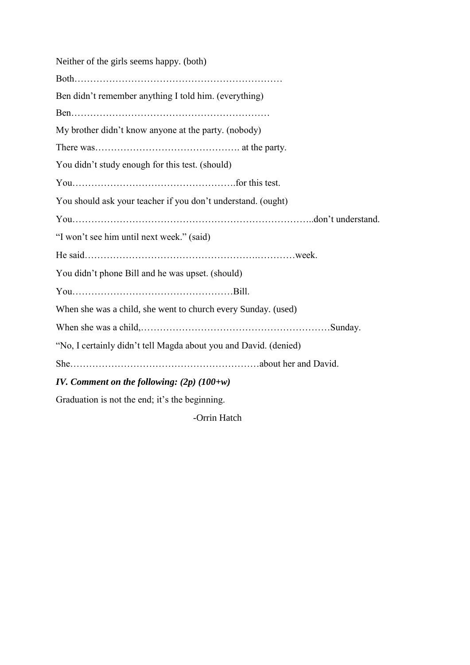Neither of the girls seems happy. (both) Both………………………………………………………… Ben didn't remember anything I told him. (everything) Ben……………………………………………………… My brother didn't know anyone at the party. (nobody) There was………………………………………. at the party. You didn't study enough for this test. (should) You…………………………………………….for this test. You should ask your teacher if you don't understand. (ought) You…………………………………………………………………..don't understand. "I won't see him until next week." (said) He said……………………………………………….…………week. You didn't phone Bill and he was upset. (should) You……………………………………………Bill. When she was a child, she went to church every Sunday. (used) When she was a child,…………………………………………………………………Sunday. "No, I certainly didn't tell Magda about you and David. (denied) She……………………………………………………about her and David. *IV. Comment on the following: (2p) (100+w)*

Graduation is not the end; it's the beginning.

-Orrin Hatch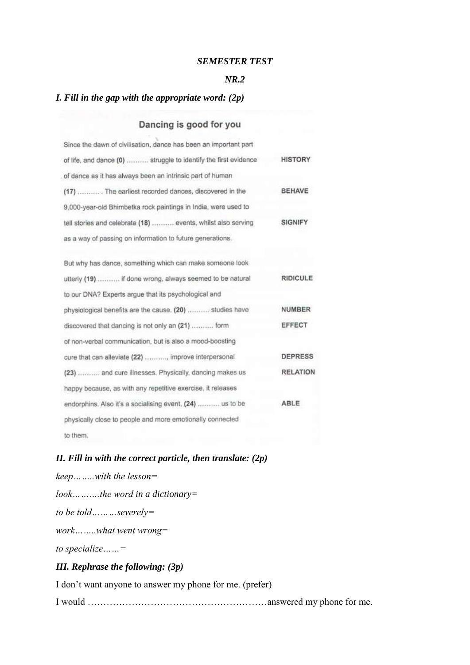#### *SEMESTER TEST*

#### *NR.2*

#### *I. Fill in the gap with the appropriate word: (2p)*

### Dancing is good for you

| Since the dawn of civilisation, dance has been an important part |                |
|------------------------------------------------------------------|----------------|
| of life, and dance (0)  struggle to identify the first evidence  | <b>HISTORY</b> |
| of dance as it has always been an intrinsic part of human        |                |
| (17)  The earliest recorded dances, discovered in the            | <b>BEHAVE</b>  |
| 9,000-year-old Bhimbetka rock paintings in India, were used to   |                |
| tell stories and celebrate (18)  events, whilst also serving     | <b>SIGNIFY</b> |
| as a way of passing on information to future generations.        |                |

| But why has dance, something which can make someone look    |                 |
|-------------------------------------------------------------|-----------------|
| utterly (19)  if done wrong, always seemed to be natural    | <b>RIDICULE</b> |
| to our DNA? Experts argue that its psychological and        |                 |
| physiological benefits are the cause. (20)  studies have    | <b>NUMBER</b>   |
| discovered that dancing is not only an (21)  form           | EFFECT          |
| of non-verbal communication, but is also a mood-boosting    |                 |
| cure that can alleviate (22) , improve interpersonal        | <b>DEPRESS</b>  |
| (23)  and cure illnesses. Physically, dancing makes us      | <b>RELATION</b> |
| happy because, as with any repetitive exercise, it releases |                 |
| endorphins. Also it's a socialising event, (24)  us to be   | ABLE            |
| physically close to people and more emotionally connected   |                 |
| to them.                                                    |                 |

### *II. Fill in with the correct particle, then translate: (2p)*

*keep……..with the lesson= look……….the word in a dictionary= to be told………severely= work……..what went wrong= to specialize……= III. Rephrase the following: (3p)*

I don't want anyone to answer my phone for me. (prefer) I would …………………………………………………answered my phone for me.